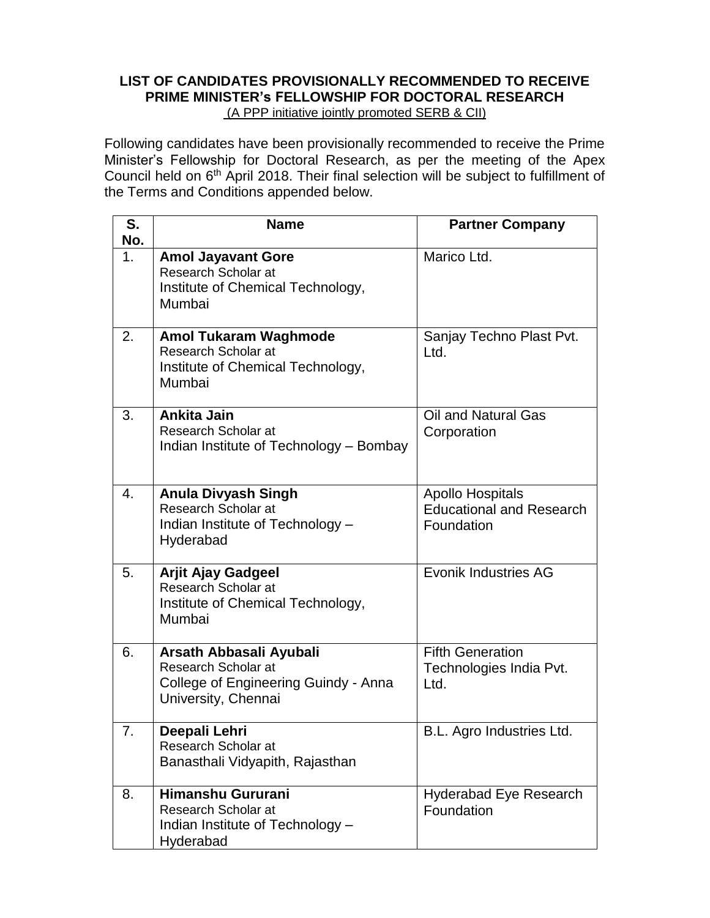# **LIST OF CANDIDATES PROVISIONALLY RECOMMENDED TO RECEIVE PRIME MINISTER's FELLOWSHIP FOR DOCTORAL RESEARCH**

(A PPP initiative jointly promoted SERB & CII)

Following candidates have been provisionally recommended to receive the Prime Minister's Fellowship for Doctoral Research, as per the meeting of the Apex Council held on 6<sup>th</sup> April 2018. Their final selection will be subject to fulfillment of the Terms and Conditions appended below.

| S.<br>No. | <b>Name</b>                                                                                                   | <b>Partner Company</b>                                                   |
|-----------|---------------------------------------------------------------------------------------------------------------|--------------------------------------------------------------------------|
| 1.        | <b>Amol Jayavant Gore</b><br>Research Scholar at<br>Institute of Chemical Technology,<br>Mumbai               | Marico Ltd.                                                              |
| 2.        | <b>Amol Tukaram Waghmode</b><br>Research Scholar at<br>Institute of Chemical Technology,<br>Mumbai            | Sanjay Techno Plast Pvt.<br>Ltd.                                         |
| 3.        | Ankita Jain<br>Research Scholar at<br>Indian Institute of Technology - Bombay                                 | Oil and Natural Gas<br>Corporation                                       |
| 4.        | <b>Anula Divyash Singh</b><br>Research Scholar at<br>Indian Institute of Technology -<br>Hyderabad            | <b>Apollo Hospitals</b><br><b>Educational and Research</b><br>Foundation |
| 5.        | <b>Arjit Ajay Gadgeel</b><br>Research Scholar at<br>Institute of Chemical Technology,<br>Mumbai               | <b>Evonik Industries AG</b>                                              |
| 6.        | Arsath Abbasali Ayubali<br>Research Scholar at<br>College of Engineering Guindy - Anna<br>University, Chennai | <b>Fifth Generation</b><br>Technologies India Pvt.<br>Ltd.               |
| 7.        | Deepali Lehri<br>Research Scholar at<br>Banasthali Vidyapith, Rajasthan                                       | B.L. Agro Industries Ltd.                                                |
| 8.        | Himanshu Gururani<br>Research Scholar at<br>Indian Institute of Technology -<br>Hyderabad                     | <b>Hyderabad Eye Research</b><br>Foundation                              |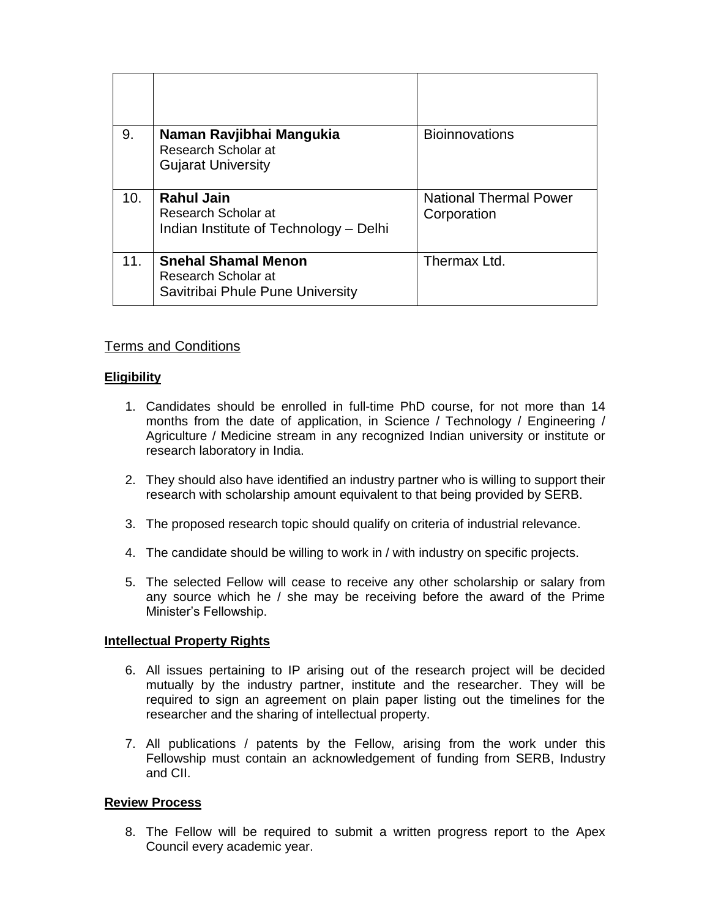| 9.  | Naman Ravjibhai Mangukia<br>Research Scholar at<br><b>Gujarat University</b>          | <b>Bioinnovations</b>                        |
|-----|---------------------------------------------------------------------------------------|----------------------------------------------|
| 10. | <b>Rahul Jain</b><br>Research Scholar at<br>Indian Institute of Technology - Delhi    | <b>National Thermal Power</b><br>Corporation |
| 11. | <b>Snehal Shamal Menon</b><br>Research Scholar at<br>Savitribai Phule Pune University | Thermax Ltd.                                 |

# Terms and Conditions

## **Eligibility**

- 1. Candidates should be enrolled in full-time PhD course, for not more than 14 months from the date of application, in Science / Technology / Engineering / Agriculture / Medicine stream in any recognized Indian university or institute or research laboratory in India.
- 2. They should also have identified an industry partner who is willing to support their research with scholarship amount equivalent to that being provided by SERB.
- 3. The proposed research topic should qualify on criteria of industrial relevance.
- 4. The candidate should be willing to work in / with industry on specific projects.
- 5. The selected Fellow will cease to receive any other scholarship or salary from any source which he / she may be receiving before the award of the Prime Minister's Fellowship.

### **Intellectual Property Rights**

- 6. All issues pertaining to IP arising out of the research project will be decided mutually by the industry partner, institute and the researcher. They will be required to sign an agreement on plain paper listing out the timelines for the researcher and the sharing of intellectual property.
- 7. All publications / patents by the Fellow, arising from the work under this Fellowship must contain an acknowledgement of funding from SERB, Industry and CII.

## **Review Process**

8. The Fellow will be required to submit a written progress report to the Apex Council every academic year.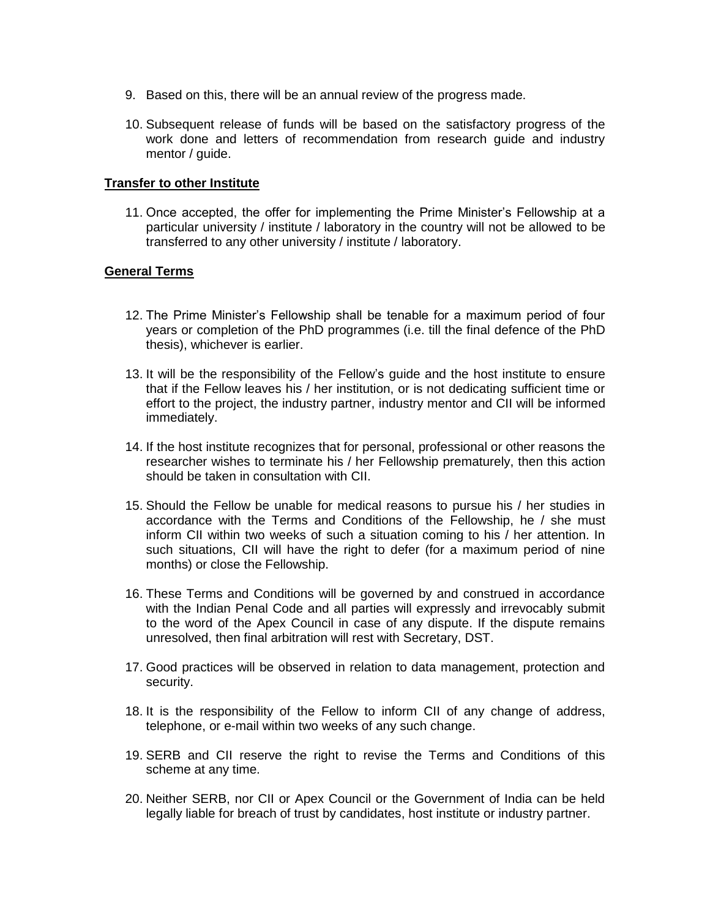- 9. Based on this, there will be an annual review of the progress made.
- 10. Subsequent release of funds will be based on the satisfactory progress of the work done and letters of recommendation from research guide and industry mentor / guide.

#### **Transfer to other Institute**

11. Once accepted, the offer for implementing the Prime Minister's Fellowship at a particular university / institute / laboratory in the country will not be allowed to be transferred to any other university / institute / laboratory.

#### **General Terms**

- 12. The Prime Minister's Fellowship shall be tenable for a maximum period of four years or completion of the PhD programmes (i.e. till the final defence of the PhD thesis), whichever is earlier.
- 13. It will be the responsibility of the Fellow's guide and the host institute to ensure that if the Fellow leaves his / her institution, or is not dedicating sufficient time or effort to the project, the industry partner, industry mentor and CII will be informed immediately.
- 14. If the host institute recognizes that for personal, professional or other reasons the researcher wishes to terminate his / her Fellowship prematurely, then this action should be taken in consultation with CII.
- 15. Should the Fellow be unable for medical reasons to pursue his / her studies in accordance with the Terms and Conditions of the Fellowship, he / she must inform CII within two weeks of such a situation coming to his / her attention. In such situations, CII will have the right to defer (for a maximum period of nine months) or close the Fellowship.
- 16. These Terms and Conditions will be governed by and construed in accordance with the Indian Penal Code and all parties will expressly and irrevocably submit to the word of the Apex Council in case of any dispute. If the dispute remains unresolved, then final arbitration will rest with Secretary, DST.
- 17. Good practices will be observed in relation to data management, protection and security.
- 18. It is the responsibility of the Fellow to inform CII of any change of address, telephone, or e-mail within two weeks of any such change.
- 19. SERB and CII reserve the right to revise the Terms and Conditions of this scheme at any time.
- 20. Neither SERB, nor CII or Apex Council or the Government of India can be held legally liable for breach of trust by candidates, host institute or industry partner.